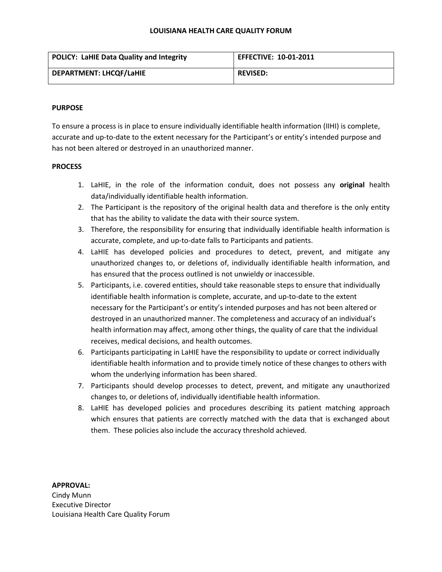#### **LOUISIANA HEALTH CARE QUALITY FORUM**

| <b>POLICY: LaHIE Data Quality and Integrity</b> | <b>EFFECTIVE: 10-01-2011</b> |
|-------------------------------------------------|------------------------------|
| <b>DEPARTMENT: LHCQF/LaHIE</b>                  | <b>REVISED:</b>              |

### **PURPOSE**

To ensure a process is in place to ensure individually identifiable health information (IIHI) is complete, accurate and up-to-date to the extent necessary for the Participant's or entity's intended purpose and has not been altered or destroyed in an unauthorized manner.

## **PROCESS**

- 1. LaHIE, in the role of the information conduit, does not possess any **original** health data/individually identifiable health information.
- 2. The Participant is the repository of the original health data and therefore is the only entity that has the ability to validate the data with their source system.
- 3. Therefore, the responsibility for ensuring that individually identifiable health information is accurate, complete, and up-to-date falls to Participants and patients.
- 4. LaHIE has developed policies and procedures to detect, prevent, and mitigate any unauthorized changes to, or deletions of, individually identifiable health information, and has ensured that the process outlined is not unwieldy or inaccessible.
- 5. Participants, i.e. covered entities, should take reasonable steps to ensure that individually identifiable health information is complete, accurate, and up-to-date to the extent necessary for the Participant's or entity's intended purposes and has not been altered or destroyed in an unauthorized manner. The completeness and accuracy of an individual's health information may affect, among other things, the quality of care that the individual receives, medical decisions, and health outcomes.
- 6. Participants participating in LaHIE have the responsibility to update or correct individually identifiable health information and to provide timely notice of these changes to others with whom the underlying information has been shared.
- 7. Participants should develop processes to detect, prevent, and mitigate any unauthorized changes to, or deletions of, individually identifiable health information.
- 8. LaHIE has developed policies and procedures describing its patient matching approach which ensures that patients are correctly matched with the data that is exchanged about them. These policies also include the accuracy threshold achieved.

#### **APPROVAL:**

Cindy Munn Executive Director Louisiana Health Care Quality Forum